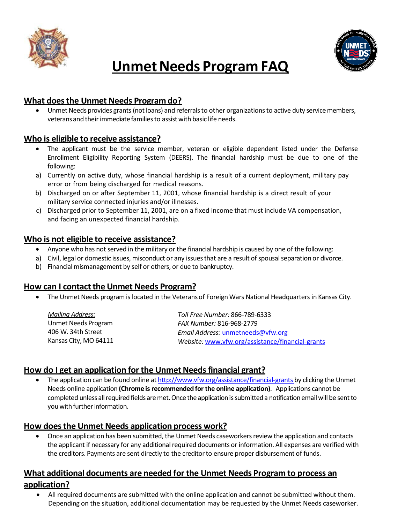



# **Unmet Needs Program FAQ**

# **What does the Unmet Needs Program do?**

 Unmet Needs provides grants (not loans) and referrals to other organizations to active duty service members, veterans and their immediate families to assist with basic life needs.

## **Who is eligible to receive assistance?**

- The applicant must be the service member, veteran or eligible dependent listed under the Defense Enrollment Eligibility Reporting System (DEERS). The financial hardship must be due to one of the following:
- a) Currently on active duty, whose financial hardship is a result of a current deployment, military pay error or from being discharged for medical reasons.
- b) Discharged on or after September 11, 2001, whose financial hardship is a direct result of your military service connected injuries and/or illnesses.
- c) Discharged prior to September 11, 2001, are on a fixed income that must include VA compensation, and facing an unexpected financial hardship.

## **Who is not eligible to receive assistance?**

- Anyone who has not served in the military or the financial hardship is caused by one of the following:
- a) Civil, legal or domestic issues, misconduct or any issues that are a result of spousal separation or divorce.
- b) Financial mismanagement by self or others, or due to bankruptcy.

#### **How can I contact the Unmet Needs Program?**

The Unmet Needs program is located in the Veterans of Foreign Wars National Headquarters in Kansas City.

| Mailing Address:      | Toll Free Number: 866-789-6333                   |
|-----------------------|--------------------------------------------------|
| Unmet Needs Program   | FAX Number: 816-968-2779                         |
| 406 W. 34th Street    | Email Address: unmetneeds@vfw.org                |
| Kansas City, MO 64111 | Website: www.vfw.org/assistance/financial-grants |

# **How do I get an application for the Unmet Needs financial grant?**

• The application can be found online at [http://www.vfw.org/assistance/financial-grants b](http://www.vfw.org/assistance/financial-grants)y clicking the Unmet Needs online application **(Chrome is recommended for the online application)**. Applications cannot be completed unless all required fields are met. Once the application is submitted a notification email will be sent to you with further information.

# **How does the Unmet Needs application process work?**

 Once an application has been submitted, the Unmet Needs caseworkers review the application and contacts the applicant if necessary for any additional required documents or information. All expenses are verified with the creditors. Payments are sent directly to the creditor to ensure proper disbursement of funds.

# **What additional documents are needed for the Unmet Needs Program to process an application?**

 All required documents are submitted with the online application and cannot be submitted without them. Depending on the situation, additional documentation may be requested by the Unmet Needs caseworker.